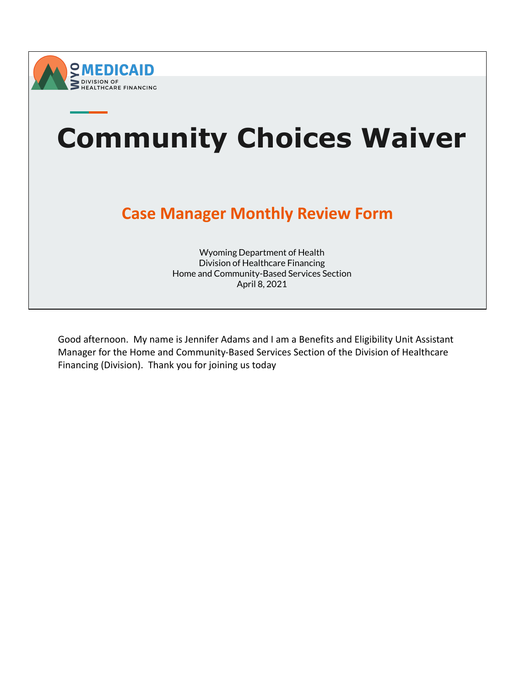



Good afternoon. My name is Jennifer Adams and I am a Benefits and Eligibility Unit Assistant Manager for the Home and Community-Based Services Section of the Division of Healthcare Financing (Division). Thank you for joining us today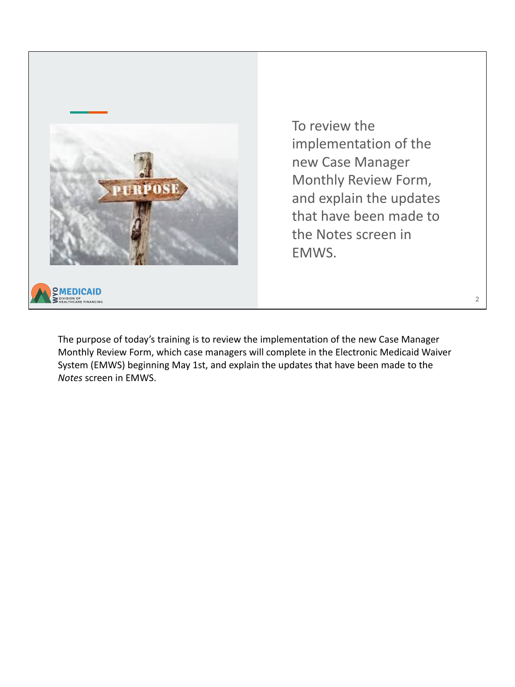

To review the implementation of the new Case Manager Monthly Review Form, and explain the updates that have been made to the Notes screen in EMWS.

The purpose of today's training is to review the implementation of the new Case Manager Monthly Review Form, which case managers will complete in the Electronic Medicaid Waiver System (EMWS) beginning May 1st, and explain the updates that have been made to the *Notes* screen in EMWS.

2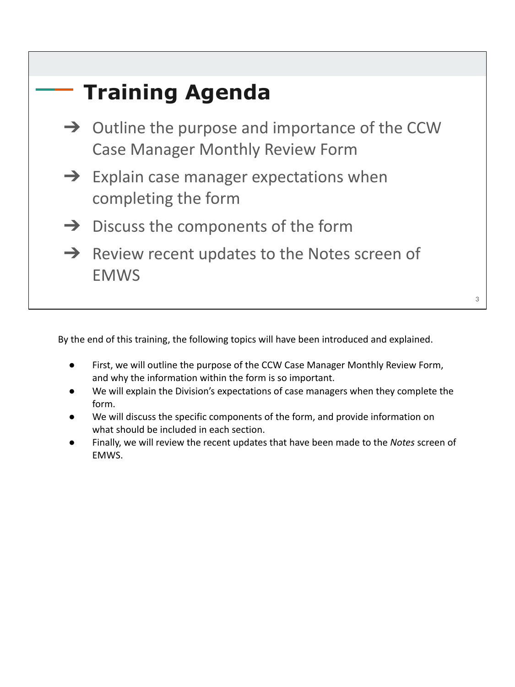| <b>Training Agenda</b>                                                                                 |  |
|--------------------------------------------------------------------------------------------------------|--|
| $\rightarrow$ Outline the purpose and importance of the CCW<br><b>Case Manager Monthly Review Form</b> |  |
| $\rightarrow$ Explain case manager expectations when<br>completing the form                            |  |
| $\rightarrow$ Discuss the components of the form                                                       |  |
| $\rightarrow$ Review recent updates to the Notes screen of<br><b>EMWS</b>                              |  |
|                                                                                                        |  |

By the end of this training, the following topics will have been introduced and explained.

- First, we will outline the purpose of the CCW Case Manager Monthly Review Form, and why the information within the form is so important.
- We will explain the Division's expectations of case managers when they complete the form.
- We will discuss the specific components of the form, and provide information on what should be included in each section.
- Finally, we will review the recent updates that have been made to the *Notes* screen of EMWS.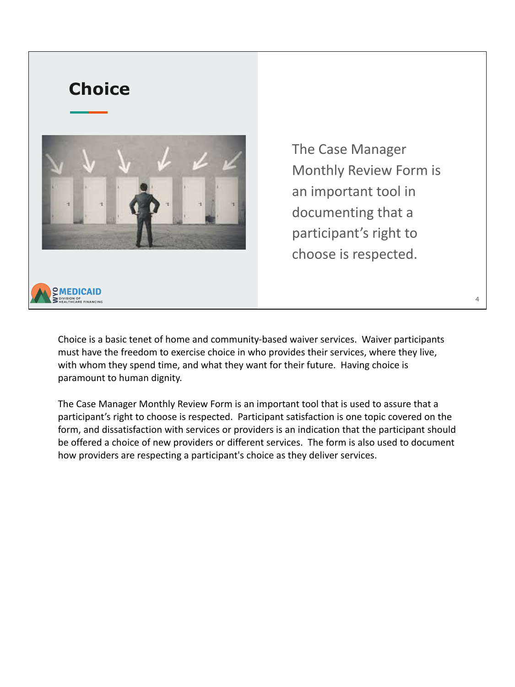

The Case Manager Monthly Review Form is an important tool in documenting that a participant's right to choose is respected.

Choice is a basic tenet of home and community-based waiver services. Waiver participants must have the freedom to exercise choice in who provides their services, where they live, with whom they spend time, and what they want for their future. Having choice is paramount to human dignity.

The Case Manager Monthly Review Form is an important tool that is used to assure that a participant's right to choose is respected. Participant satisfaction is one topic covered on the form, and dissatisfaction with services or providers is an indication that the participant should be offered a choice of new providers or different services. The form is also used to document how providers are respecting a participant's choice as they deliver services.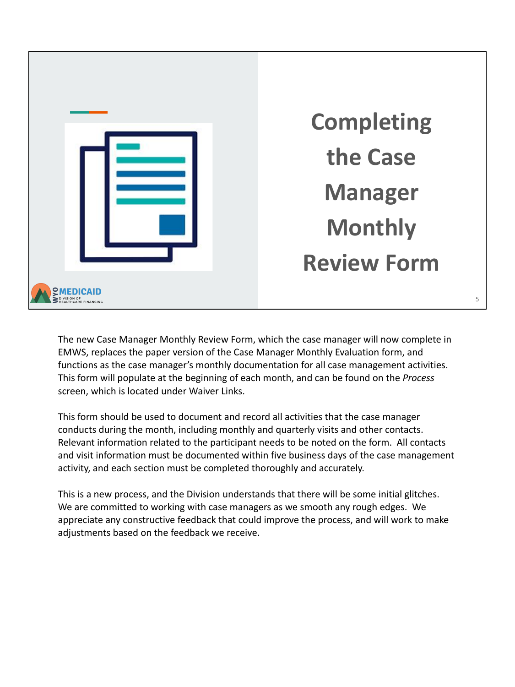

The new Case Manager Monthly Review Form, which the case manager will now complete in EMWS, replaces the paper version of the Case Manager Monthly Evaluation form, and functions as the case manager's monthly documentation for all case management activities. This form will populate at the beginning of each month, and can be found on the *Process*  screen, which is located under Waiver Links.

This form should be used to document and record all activities that the case manager conducts during the month, including monthly and quarterly visits and other contacts. Relevant information related to the participant needs to be noted on the form. All contacts and visit information must be documented within five business days of the case management activity, and each section must be completed thoroughly and accurately.

This is a new process, and the Division understands that there will be some initial glitches. We are committed to working with case managers as we smooth any rough edges. We appreciate any constructive feedback that could improve the process, and will work to make adjustments based on the feedback we receive.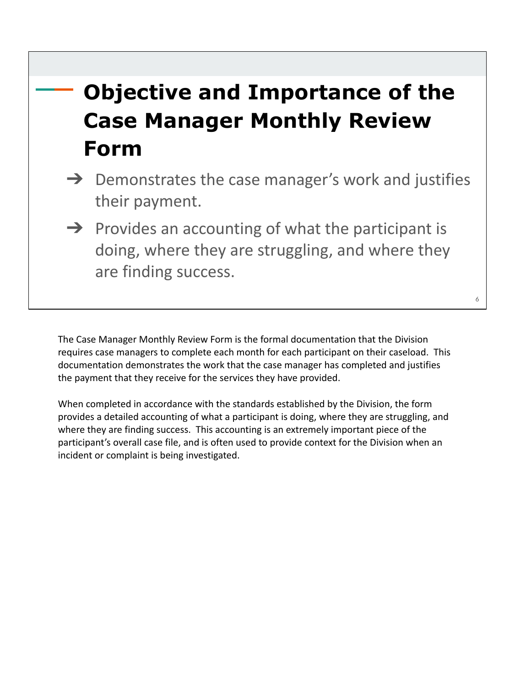## **Objective and Importance of the Case Manager Monthly Review Form**

- $\rightarrow$  Demonstrates the case manager's work and justifies their payment.
- $\rightarrow$  Provides an accounting of what the participant is doing, where they are struggling, and where they are finding success.

The Case Manager Monthly Review Form is the formal documentation that the Division requires case managers to complete each month for each participant on their caseload. This documentation demonstrates the work that the case manager has completed and justifies the payment that they receive for the services they have provided.

When completed in accordance with the standards established by the Division, the form provides a detailed accounting of what a participant is doing, where they are struggling, and where they are finding success. This accounting is an extremely important piece of the participant's overall case file, and is often used to provide context for the Division when an incident or complaint is being investigated.

6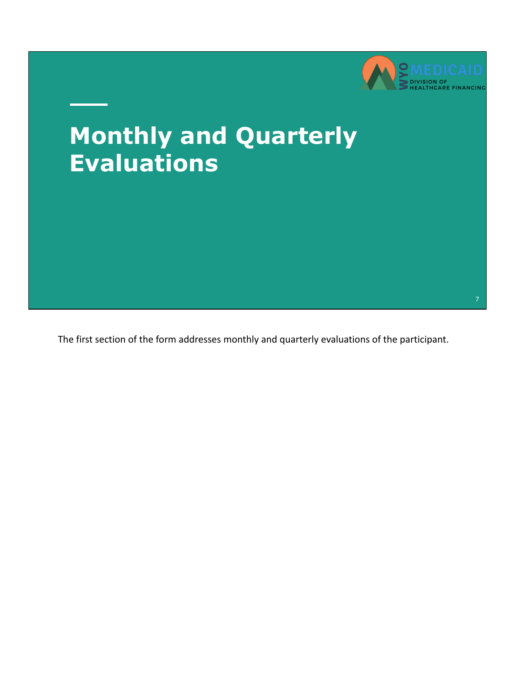

# **Monthly and Quarterly Evaluations**

The first section of the form addresses monthly and quarterly evaluations of the participant.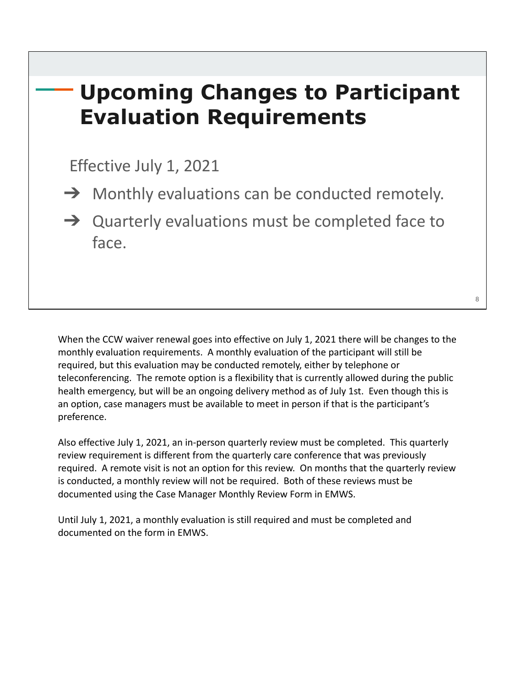## **Upcoming Changes to Participant Evaluation Requirements**

Effective July 1, 2021

 $\rightarrow$  Monthly evaluations can be conducted remotely.

→ Quarterly evaluations must be completed face to face.

When the CCW waiver renewal goes into effective on July 1, 2021 there will be changes to the monthly evaluation requirements. A monthly evaluation of the participant will still be required, but this evaluation may be conducted remotely, either by telephone or teleconferencing. The remote option is a flexibility that is currently allowed during the public health emergency, but will be an ongoing delivery method as of July 1st. Even though this is an option, case managers must be available to meet in person if that is the participant's preference.

Also effective July 1, 2021, an in-person quarterly review must be completed. This quarterly review requirement is different from the quarterly care conference that was previously required. A remote visit is not an option for this review. On months that the quarterly review is conducted, a monthly review will not be required. Both of these reviews must be documented using the Case Manager Monthly Review Form in EMWS.

Until July 1, 2021, a monthly evaluation is still required and must be completed and documented on the form in EMWS.

8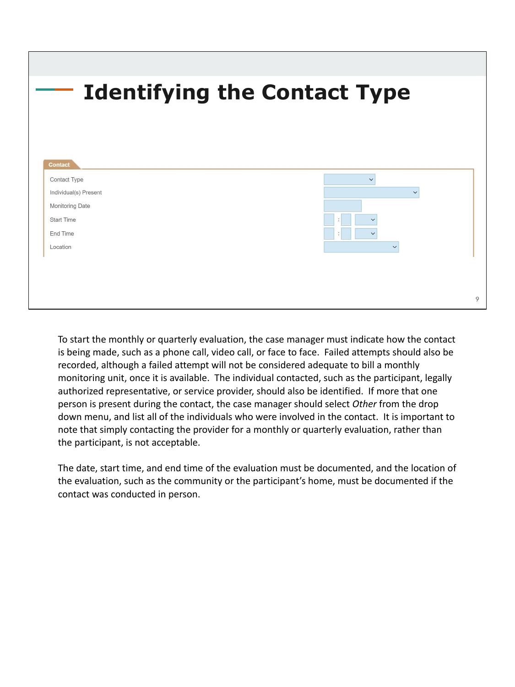|                       | <b>Identifying the Contact Type</b> |              |
|-----------------------|-------------------------------------|--------------|
|                       |                                     |              |
| <b>Contact</b>        |                                     |              |
| Contact Type          | $\checkmark$                        |              |
| Individual(s) Present |                                     | $\checkmark$ |
| Monitoring Date       |                                     |              |
| <b>Start Time</b>     | $\checkmark$                        |              |
| End Time              | $\checkmark$                        |              |
| Location              | $\checkmark$                        |              |
|                       |                                     |              |

To start the monthly or quarterly evaluation, the case manager must indicate how the contact is being made, such as a phone call, video call, or face to face. Failed attempts should also be recorded, although a failed attempt will not be considered adequate to bill a monthly monitoring unit, once it is available. The individual contacted, such as the participant, legally authorized representative, or service provider, should also be identified. If more that one person is present during the contact, the case manager should select *Other* from the drop down menu, and list all of the individuals who were involved in the contact. It is important to note that simply contacting the provider for a monthly or quarterly evaluation, rather than the participant, is not acceptable.

The date, start time, and end time of the evaluation must be documented, and the location of the evaluation, such as the community or the participant's home, must be documented if the contact was conducted in person.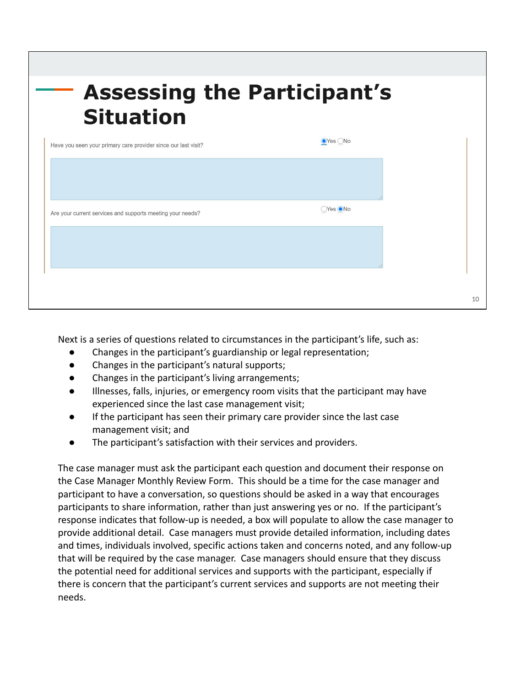| <b>Assessing the Participant's</b><br><b>Situation</b>         |                        |
|----------------------------------------------------------------|------------------------|
| Have you seen your primary care provider since our last visit? | $\odot$ Yes $\odot$ No |
|                                                                |                        |
| Are your current services and supports meeting your needs?     | Yes ●No                |

Next is a series of questions related to circumstances in the participant's life, such as:

 $1<sub>0</sub>$ 

- Changes in the participant's guardianship or legal representation;
- Changes in the participant's natural supports;
- Changes in the participant's living arrangements;
- Illnesses, falls, injuries, or emergency room visits that the participant may have experienced since the last case management visit;
- If the participant has seen their primary care provider since the last case management visit; and
- The participant's satisfaction with their services and providers.

The case manager must ask the participant each question and document their response on the Case Manager Monthly Review Form. This should be a time for the case manager and participant to have a conversation, so questions should be asked in a way that encourages participants to share information, rather than just answering yes or no. If the participant's response indicates that follow-up is needed, a box will populate to allow the case manager to provide additional detail. Case managers must provide detailed information, including dates and times, individuals involved, specific actions taken and concerns noted, and any follow-up that will be required by the case manager. Case managers should ensure that they discuss the potential need for additional services and supports with the participant, especially if there is concern that the participant's current services and supports are not meeting their needs.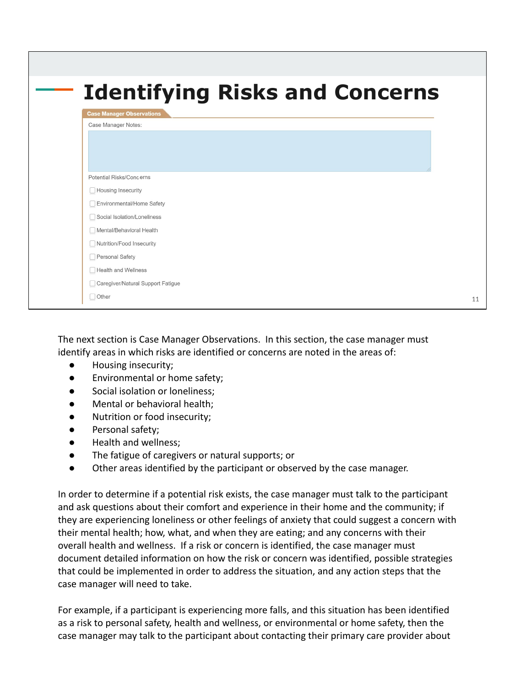|                                                 | <b>Identifying Risks and Concerns</b> |  |
|-------------------------------------------------|---------------------------------------|--|
| <b>Case Manager Observations</b>                |                                       |  |
| Case Manager Notes:                             |                                       |  |
|                                                 |                                       |  |
|                                                 |                                       |  |
|                                                 |                                       |  |
| Potential Risks/Concerns                        |                                       |  |
| Housing Insecurity<br>Environmental/Home Safety |                                       |  |
| Social Isolation/Loneliness                     |                                       |  |
| Mental/Behavioral Health                        |                                       |  |
| Nutrition/Food Insecurity                       |                                       |  |
| Personal Safety                                 |                                       |  |
|                                                 |                                       |  |
| Health and Wellness                             |                                       |  |
| Caregiver/Natural Support Fatigue               |                                       |  |

The next section is Case Manager Observations. In this section, the case manager must identify areas in which risks are identified or concerns are noted in the areas of:

- Housing insecurity;
- Environmental or home safety;
- Social isolation or loneliness;
- Mental or behavioral health;
- Nutrition or food insecurity;
- Personal safety;
- Health and wellness:
- The fatigue of caregivers or natural supports; or
- Other areas identified by the participant or observed by the case manager.

In order to determine if a potential risk exists, the case manager must talk to the participant and ask questions about their comfort and experience in their home and the community; if they are experiencing loneliness or other feelings of anxiety that could suggest a concern with their mental health; how, what, and when they are eating; and any concerns with their overall health and wellness. If a risk or concern is identified, the case manager must document detailed information on how the risk or concern was identified, possible strategies that could be implemented in order to address the situation, and any action steps that the case manager will need to take.

For example, if a participant is experiencing more falls, and this situation has been identified as a risk to personal safety, health and wellness, or environmental or home safety, then the case manager may talk to the participant about contacting their primary care provider about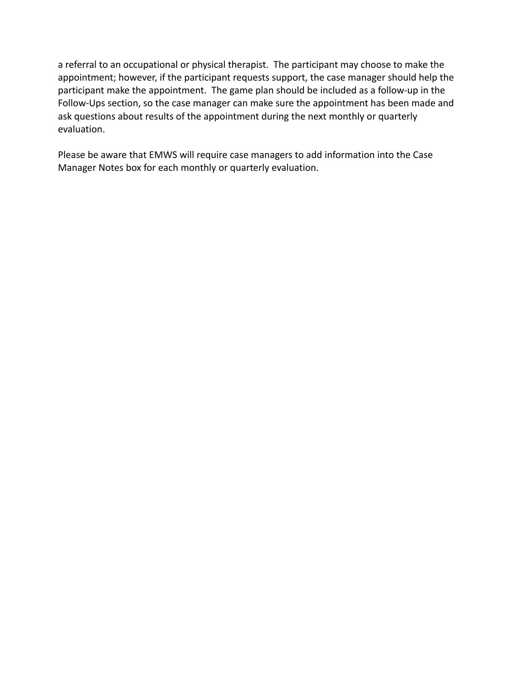a referral to an occupational or physical therapist. The participant may choose to make the appointment; however, if the participant requests support, the case manager should help the participant make the appointment. The game plan should be included as a follow-up in the Follow-Ups section, so the case manager can make sure the appointment has been made and ask questions about results of the appointment during the next monthly or quarterly evaluation.

Please be aware that EMWS will require case managers to add information into the Case Manager Notes box for each monthly or quarterly evaluation.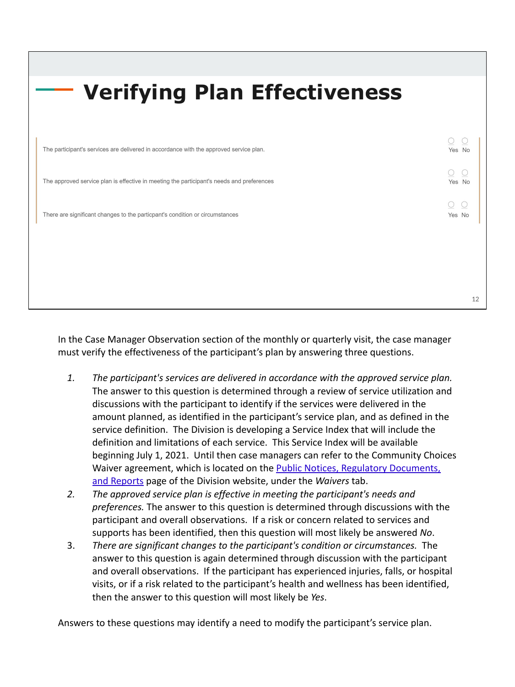| <b>Verifying Plan Effectiveness</b>                                                       |        |
|-------------------------------------------------------------------------------------------|--------|
|                                                                                           |        |
| The participant's services are delivered in accordance with the approved service plan.    | Yes No |
| The approved service plan is effective in meeting the participant's needs and preferences | Yes No |
| There are significant changes to the particpant's condition or circumstances              | Yes No |
|                                                                                           |        |
|                                                                                           |        |
|                                                                                           | 12     |

In the Case Manager Observation section of the monthly or quarterly visit, the case manager must verify the effectiveness of the participant's plan by answering three questions.

- *1. The participant's services are delivered in accordance with the approved service plan.* The answer to this question is determined through a review of service utilization and discussions with the participant to identify if the services were delivered in the amount planned, as identified in the participant's service plan, and as defined in the service definition. The Division is developing a Service Index that will include the definition and limitations of each service. This Service Index will be available beginning July 1, 2021. Until then case managers can refer to the Community Choices Waiver agreement, which is located on the [Public Notices, Regulatory Documents,](https://health.wyo.gov/healthcarefin/hcbs/hcbs-public-notices/) [and Reports](https://health.wyo.gov/healthcarefin/hcbs/hcbs-public-notices/) page of the Division website, under the *Waivers* tab.
- *2. The approved service plan is effective in meeting the participant's needs and preferences.* The answer to this question is determined through discussions with the participant and overall observations. If a risk or concern related to services and supports has been identified, then this question will most likely be answered *No*.
- 3. *There are significant changes to the participant's condition or circumstances.* The answer to this question is again determined through discussion with the participant and overall observations. If the participant has experienced injuries, falls, or hospital visits, or if a risk related to the participant's health and wellness has been identified, then the answer to this question will most likely be *Yes*.

Answers to these questions may identify a need to modify the participant's service plan.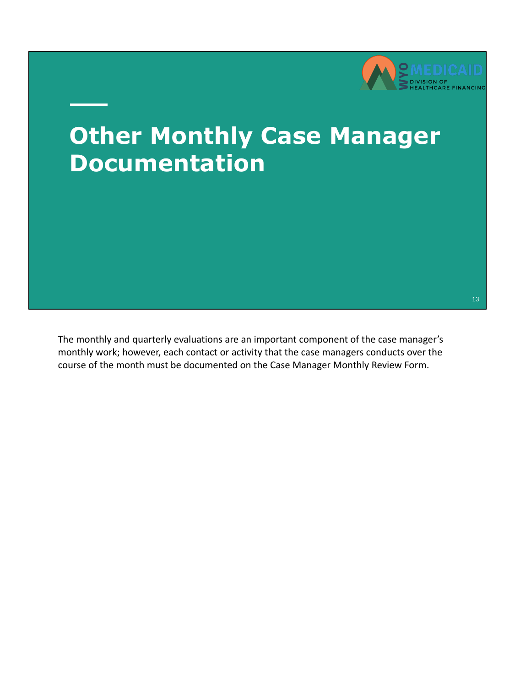

# **Other Monthly Case Manager Documentation**

The monthly and quarterly evaluations are an important component of the case manager's monthly work; however, each contact or activity that the case managers conducts over the course of the month must be documented on the Case Manager Monthly Review Form.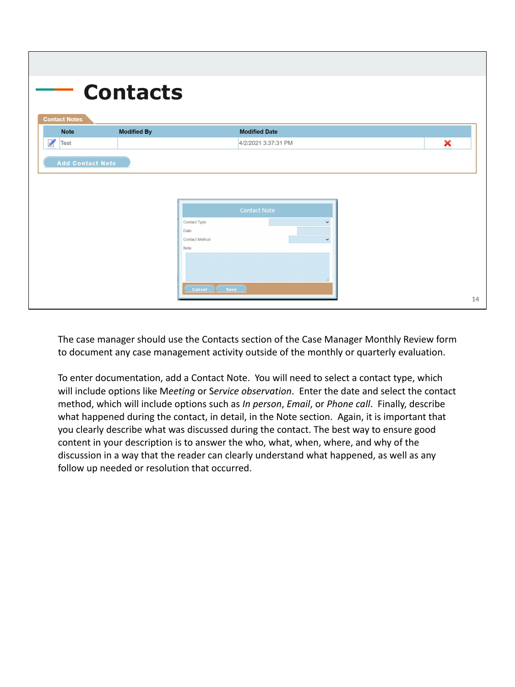| <b>Modified By</b><br><b>Modified Date</b><br>4/2/2021 3:37:31 PM | × |
|-------------------------------------------------------------------|---|
|                                                                   |   |
|                                                                   |   |
| <b>Contact Note</b>                                               |   |
| Contact Type<br>$\check{~}$<br>Date                               |   |
| Contact Method<br>$\check{~}$                                     |   |
| Note                                                              |   |
|                                                                   |   |
| Save 3<br>Cancel (                                                |   |

The case manager should use the Contacts section of the Case Manager Monthly Review form to document any case management activity outside of the monthly or quarterly evaluation.

To enter documentation, add a Contact Note. You will need to select a contact type, which will include options like M*eeting* or S*ervice observation*. Enter the date and select the contact method, which will include options such as *In person*, *Email*, or *Phone call*. Finally, describe what happened during the contact, in detail, in the Note section. Again, it is important that you clearly describe what was discussed during the contact. The best way to ensure good content in your description is to answer the who, what, when, where, and why of the discussion in a way that the reader can clearly understand what happened, as well as any follow up needed or resolution that occurred.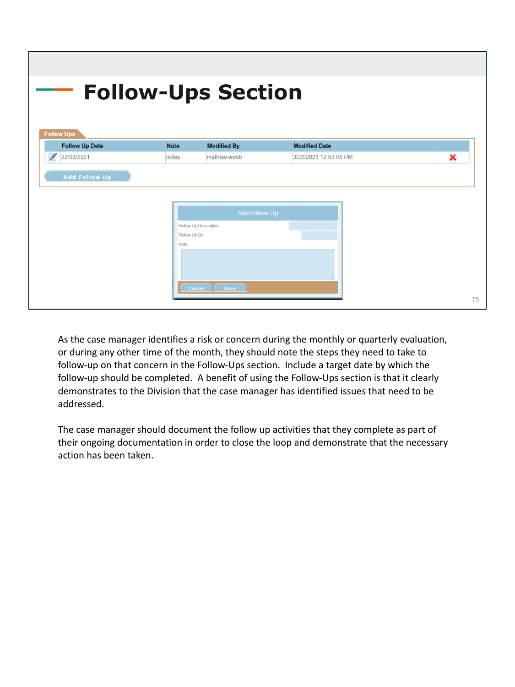| <b>Follow Ups</b>     |              |                       |                       |   |
|-----------------------|--------------|-----------------------|-----------------------|---|
| <b>Follow Up Date</b> | <b>Note</b>  | <b>Modified By</b>    | <b>Modified Date</b>  |   |
| 22/03/2021            | notes        | mathew.webb           | 3/22/2021 12:53:05 PM | × |
|                       |              | Add Follow Up         |                       |   |
|                       |              | Follow Up Description |                       |   |
|                       |              |                       |                       |   |
|                       | Follow Up On |                       |                       |   |

As the case manager identifies a risk or concern during the monthly or quarterly evaluation, or during any other time of the month, they should note the steps they need to take to follow-up on that concern in the Follow-Ups section. Include a target date by which the follow-up should be completed. A benefit of using the Follow-Ups section is that it clearly demonstrates to the Division that the case manager has identified issues that need to be addressed.

The case manager should document the follow up activities that they complete as part of their ongoing documentation in order to close the loop and demonstrate that the necessary action has been taken.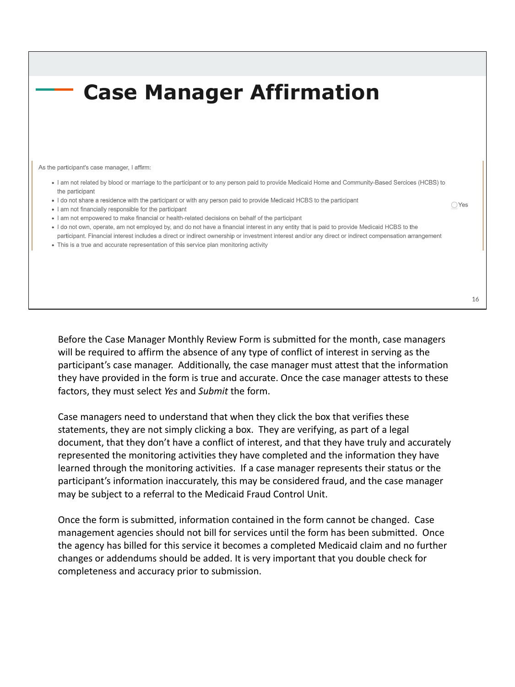#### **Case Manager Affirmation** As the participant's case manager. I affirm: . I am not related by blood or marriage to the participant or to any person paid to provide Medicaid Home and Community-Based Sercices (HCBS) to the participant . I do not share a residence with the participant or with any person paid to provide Medicaid HCBS to the participant . I am not financially responsible for the participant . I am not empowered to make financial or health-related decisions on behalf of the participant . I do not own, operate, am not employed by, and do not have a financial interest in any entity that is paid to provide Medicaid HCBS to the participant. Financial interest includes a direct or indirect ownership or investment interest and/or any direct or indirect compensation arrangement

• This is a true and accurate representation of this service plan monitoring activity

Before the Case Manager Monthly Review Form is submitted for the month, case managers will be required to affirm the absence of any type of conflict of interest in serving as the participant's case manager. Additionally, the case manager must attest that the information they have provided in the form is true and accurate. Once the case manager attests to these factors, they must select *Yes* and *Submit* the form.

Case managers need to understand that when they click the box that verifies these statements, they are not simply clicking a box. They are verifying, as part of a legal document, that they don't have a conflict of interest, and that they have truly and accurately represented the monitoring activities they have completed and the information they have learned through the monitoring activities. If a case manager represents their status or the participant's information inaccurately, this may be considered fraud, and the case manager may be subject to a referral to the Medicaid Fraud Control Unit.

Once the form is submitted, information contained in the form cannot be changed. Case management agencies should not bill for services until the form has been submitted. Once the agency has billed for this service it becomes a completed Medicaid claim and no further changes or addendums should be added. It is very important that you double check for completeness and accuracy prior to submission.

 $\bigcirc$  Yes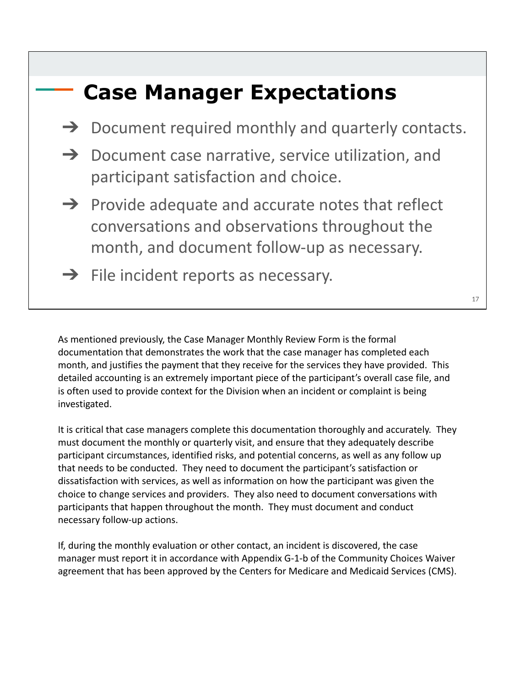### **Case Manager Expectations**

- $\rightarrow$  Document required monthly and quarterly contacts.
- $\rightarrow$  Document case narrative, service utilization, and participant satisfaction and choice.
- $\rightarrow$  Provide adequate and accurate notes that reflect conversations and observations throughout the month, and document follow-up as necessary.
- $\rightarrow$  File incident reports as necessary.

As mentioned previously, the Case Manager Monthly Review Form is the formal documentation that demonstrates the work that the case manager has completed each month, and justifies the payment that they receive for the services they have provided. This detailed accounting is an extremely important piece of the participant's overall case file, and is often used to provide context for the Division when an incident or complaint is being investigated.

It is critical that case managers complete this documentation thoroughly and accurately. They must document the monthly or quarterly visit, and ensure that they adequately describe participant circumstances, identified risks, and potential concerns, as well as any follow up that needs to be conducted. They need to document the participant's satisfaction or dissatisfaction with services, as well as information on how the participant was given the choice to change services and providers. They also need to document conversations with participants that happen throughout the month. They must document and conduct necessary follow-up actions.

If, during the monthly evaluation or other contact, an incident is discovered, the case manager must report it in accordance with Appendix G-1-b of the Community Choices Waiver agreement that has been approved by the Centers for Medicare and Medicaid Services (CMS).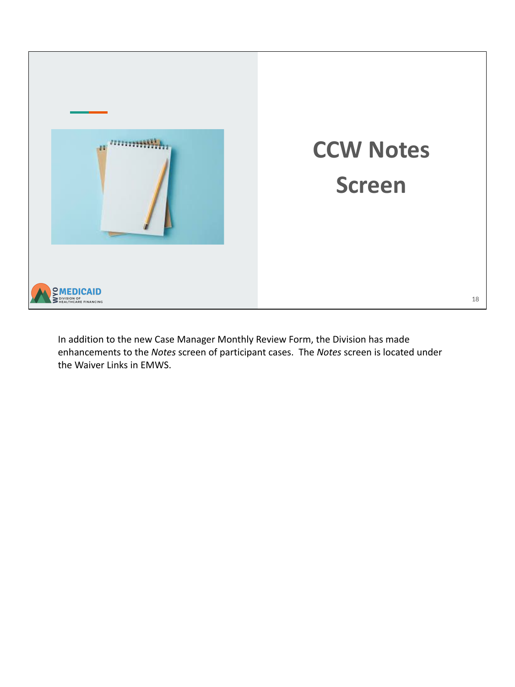

In addition to the new Case Manager Monthly Review Form, the Division has made enhancements to the *Notes* screen of participant cases. The *Notes* screen is located under the Waiver Links in EMWS.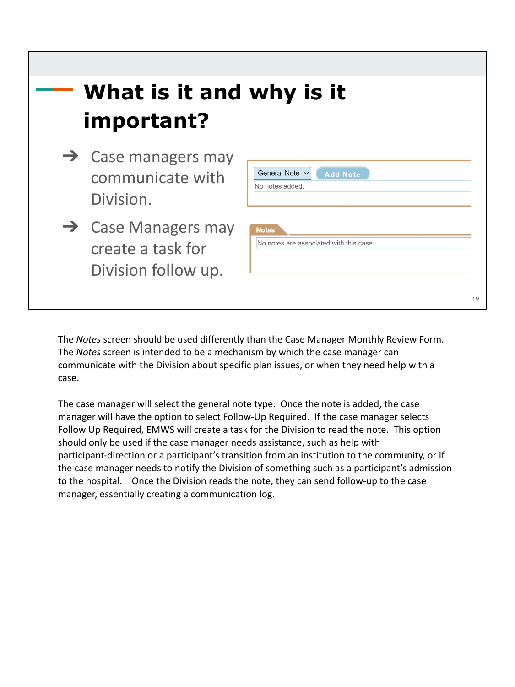

The *Notes* screen should be used differently than the Case Manager Monthly Review Form. The *Notes* screen is intended to be a mechanism by which the case manager can communicate with the Division about specific plan issues, or when they need help with a case.

The case manager will select the general note type. Once the note is added, the case manager will have the option to select Follow-Up Required. If the case manager selects Follow Up Required, EMWS will create a task for the Division to read the note. This option should only be used if the case manager needs assistance, such as help with participant-direction or a participant's transition from an institution to the community, or if the case manager needs to notify the Division of something such as a participant's admission to the hospital. Once the Division reads the note, they can send follow-up to the case manager, essentially creating a communication log.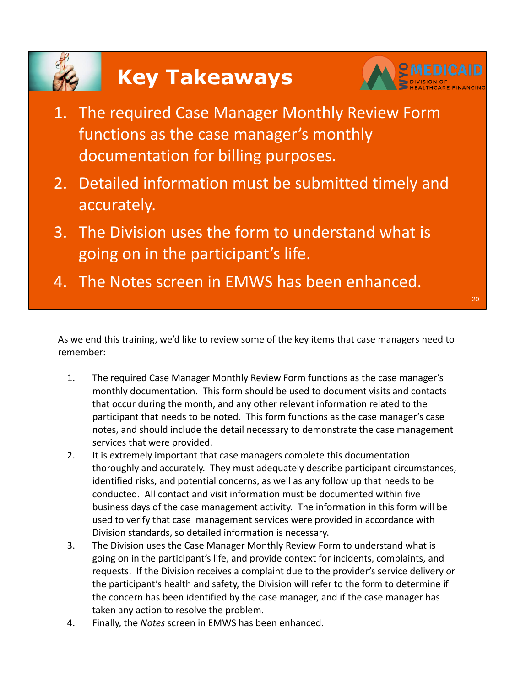# **Key Takeaways**



20

- 1. The required Case Manager Monthly Review Form functions as the case manager's monthly documentation for billing purposes.
- 2. Detailed information must be submitted timely and accurately.
- 3. The Division uses the form to understand what is going on in the participant's life.
- 4. The Notes screen in EMWS has been enhanced.

As we end this training, we'd like to review some of the key items that case managers need to remember:

- 1. The required Case Manager Monthly Review Form functions as the case manager's monthly documentation. This form should be used to document visits and contacts that occur during the month, and any other relevant information related to the participant that needs to be noted. This form functions as the case manager's case notes, and should include the detail necessary to demonstrate the case management services that were provided.
- 2. It is extremely important that case managers complete this documentation thoroughly and accurately. They must adequately describe participant circumstances, identified risks, and potential concerns, as well as any follow up that needs to be conducted. All contact and visit information must be documented within five business days of the case management activity. The information in this form will be used to verify that case management services were provided in accordance with Division standards, so detailed information is necessary.
- 3. The Division uses the Case Manager Monthly Review Form to understand what is going on in the participant's life, and provide context for incidents, complaints, and requests. If the Division receives a complaint due to the provider's service delivery or the participant's health and safety, the Division will refer to the form to determine if the concern has been identified by the case manager, and if the case manager has taken any action to resolve the problem.
- 4. Finally, the *Notes* screen in EMWS has been enhanced.